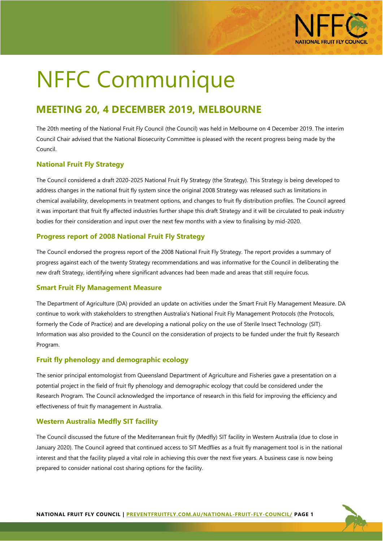

# NFFC Communique

# **MEETING 20, 4 DECEMBER 2019, MELBOURNE**

The 20th meeting of the National Fruit Fly Council (the Council) was held in Melbourne on 4 December 2019. The interim Council Chair advised that the National Biosecurity Committee is pleased with the recent progress being made by the Council.

# **National Fruit Fly Strategy**

The Council considered a draft 2020-2025 National Fruit Fly Strategy (the Strategy). This Strategy is being developed to address changes in the national fruit fly system since the original 2008 Strategy was released such as limitations in chemical availability, developments in treatment options, and changes to fruit fly distribution profiles. The Council agreed it was important that fruit fly affected industries further shape this draft Strategy and it will be circulated to peak industry bodies for their consideration and input over the next few months with a view to finalising by mid-2020.

#### **Progress report of 2008 National Fruit Fly Strategy**

The Council endorsed the progress report of the 2008 National Fruit Fly Strategy. The report provides a summary of progress against each of the twenty Strategy recommendations and was informative for the Council in deliberating the new draft Strategy, identifying where significant advances had been made and areas that still require focus.

#### **Smart Fruit Fly Management Measure**

The Department of Agriculture (DA) provided an update on activities under the Smart Fruit Fly Management Measure. DA continue to work with stakeholders to strengthen Australia's National Fruit Fly Management Protocols (the Protocols, formerly the Code of Practice) and are developing a national policy on the use of Sterile Insect Technology (SIT). Information was also provided to the Council on the consideration of projects to be funded under the fruit fly Research Program.

#### **Fruit fly phenology and demographic ecology**

The senior principal entomologist from Queensland Department of Agriculture and Fisheries gave a presentation on a potential project in the field of fruit fly phenology and demographic ecology that could be considered under the Research Program. The Council acknowledged the importance of research in this field for improving the efficiency and effectiveness of fruit fly management in Australia.

# **Western Australia Medfly SIT facility**

The Council discussed the future of the Mediterranean fruit fly (Medfly) SIT facility in Western Australia (due to close in January 2020). The Council agreed that continued access to SIT Medflies as a fruit fly management tool is in the national interest and that the facility played a vital role in achieving this over the next five years. A business case is now being prepared to consider national cost sharing options for the facility.